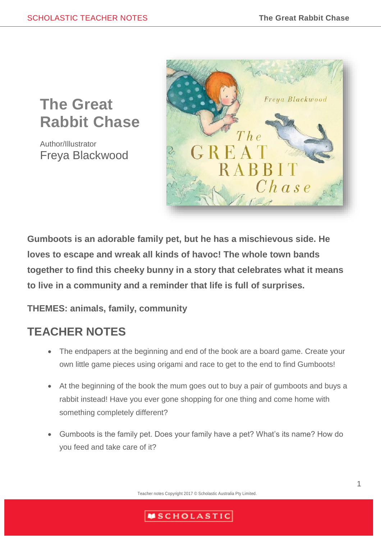# **The Great Rabbit Chase**

Author/Illustrator Freya Blackwood



**Gumboots is an adorable family pet, but he has a mischievous side. He loves to escape and wreak all kinds of havoc! The whole town bands together to find this cheeky bunny in a story that celebrates what it means to live in a community and a reminder that life is full of surprises.**

# **THEMES: animals, family, community**

# **TEACHER NOTES**

- The endpapers at the beginning and end of the book are a board game. Create your own little game pieces using origami and race to get to the end to find Gumboots!
- At the beginning of the book the mum goes out to buy a pair of gumboots and buys a rabbit instead! Have you ever gone shopping for one thing and come home with something completely different?
- Gumboots is the family pet. Does your family have a pet? What's its name? How do you feed and take care of it?

Teacher notes Copyright 2017 © Scholastic Australia Pty Limited.

# **MSCHOLASTIC**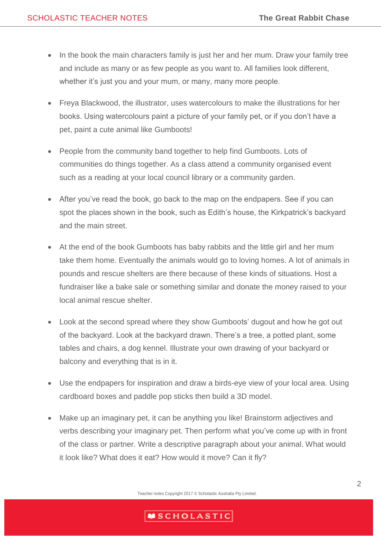- In the book the main characters family is just her and her mum. Draw your family tree and include as many or as few people as you want to. All families look different, whether it's just you and your mum, or many, many more people.
- Freya Blackwood, the illustrator, uses watercolours to make the illustrations for her books. Using watercolours paint a picture of your family pet, or if you don't have a pet, paint a cute animal like Gumboots!
- People from the community band together to help find Gumboots. Lots of communities do things together. As a class attend a community organised event such as a reading at your local council library or a community garden.
- After you've read the book, go back to the map on the endpapers. See if you can spot the places shown in the book, such as Edith's house, the Kirkpatrick's backyard and the main street.
- At the end of the book Gumboots has baby rabbits and the little girl and her mum take them home. Eventually the animals would go to loving homes. A lot of animals in pounds and rescue shelters are there because of these kinds of situations. Host a fundraiser like a bake sale or something similar and donate the money raised to your local animal rescue shelter.
- Look at the second spread where they show Gumboots' dugout and how he got out of the backyard. Look at the backyard drawn. There's a tree, a potted plant, some tables and chairs, a dog kennel. Illustrate your own drawing of your backyard or balcony and everything that is in it.
- Use the endpapers for inspiration and draw a birds-eye view of your local area. Using cardboard boxes and paddle pop sticks then build a 3D model.
- Make up an imaginary pet, it can be anything you like! Brainstorm adjectives and verbs describing your imaginary pet. Then perform what you've come up with in front of the class or partner. Write a descriptive paragraph about your animal. What would it look like? What does it eat? How would it move? Can it fly?

Teacher notes Copyright 2017 © Scholastic Australia Pty Limited.

### **MSCHOLASTIC**